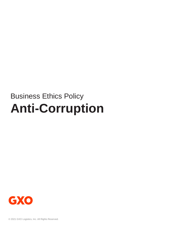# Business Ethics Policy **Anti-Corruption**

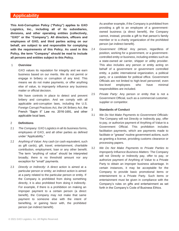# **Applicability**

**This Anti-Corruption Policy ("Policy") applies to GXO Logistics, Inc., including all of its subsidiaries, divisions, and other operating entities (collectively, "GXO" or the "Company"). All directors, officers and employees of GXO, and third parties acting on our behalf, are subject to and responsible for complying with the requirements of this Policy. As used in this Policy, the term "Company" should be read to include all persons and entities subject to this Policy.**

#### 1 **Overview**

GXO values its reputation for integrity and we earn business based on our merits. We do not permit or engage in bribery or corruption of any kind. This means we do not make payments, or offer anything else of value, to improperly influence any business matter or official decision.

We have controls in place to detect and prevent bribery and corruption. And we comply with all applicable anti-corruption laws, including the U.S. Foreign Corrupt Practices Act, the UK Bribery Act, the French "Sapin II" Law no. 2016-1691, and other applicable local laws.

#### 2 **Definitions**

- 2.1 *The Company:* GXO Logistics in all its business forms, employees of GXO, and all other parties as defined under "Applicability."
- 2.2 *Anything of Value:* Any cash (or cash equivalent, such as gift cards), gift, travel, entertainment, charitable contribution, employment, loan or any other benefit. The term "anything of value" should be interpreted broadly; there is no threshold amount nor any exception for "small" payments.
- 2.3 *Directly or Indirectly:* A direct action is aimed at a particular person or entity; an indirect action is aimed at a party related to the particular person or entity. If the Company is prohibited from doing something directly, it is also prohibited from doing it indirectly. For example, if there is a prohibition on making an improper payment to a certain person (a direct benefit), the Company may not make that same payment to someone else with the intent of benefiting, or gaining favor with, the prohibited person (an indirect benefit).

As another example, if the Company is prohibited from providing a gift to an employee of a governmentowned business (a direct benefit), the Company cannot, instead, provide a gift to that person's family member or to a charity organization of the prohibited person (an indirect benefit).

- 2.4 *Government Official:* Any person, regardless of position, working for a government, or a governmentcontrolled entity or business, including entities such as a state-owned air carrier, shipper or utility provider. This also includes any person or entity acting on behalf of a government or government controlled entity, a public international organization, a political party, or a candidate for political office. Government Officials are not limited to high-level personnel; even low-level employees who have minimal responsibilities are included.
- 2.5 *Private Party:* Any person or entity that is not a Government Official, such as a commercial customer, supplier or competitor.

#### 3 **Standards of Conduct**

- 3.1 *We Do Not Make Payments to Government Officials:* The Company will not Directly or Indirectly pay, offer to pay, or authorize payment of Anything of Value to a Government Official. This prohibition includes facilitation payments, which are payments made to facilitate or "grease" routine government actions, such as granting a license, providing customs clearance or processing papers.
- 3.2 *We Do Not Make Payments to Private Parties to Improperly Influence Business Matters:* The Company will not Directly or Indirectly pay, offer to pay, or authorize payment of Anything of Value to a Private Party to obtain an improper business advantage. In certain instances, it may be acceptable for the Company to provide basic promotional items or entertainment to a Private Party. Such items or entertainment must be given in compliance with the Company's rules on gifts and entertainment as set forth in the Company's Code of Business Ethics.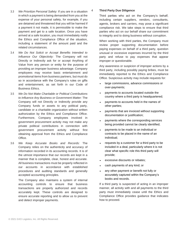- 3.3 *We Prioritize Personal Safety:* If you are in a situation in which a payment is being demanded from you at the expense of your personal safety, for example, if you are detained and threatened that you will be harmed if a payment it not made, it is permissible to make the payment and get to a safe location. Once you have arrived at a safe location, you must immediately notify the Ethics and Compliance Office of the situation, including a statement of the amount paid and the related circumstances.
- 3.4 *We Do Not Solicit or Accept Benefits Intended to Influence Our Objectivity:* The Company will not Directly or Indirectly ask for or accept Anything of Value from any person or entity for the purpose of providing an improper business advantage. Company employees may receive basic entertainment and promotional items from business partners, but must do so in accordance with the Company's rules on gifts and entertainment, as set forth in our Code of Business Ethics.
- 3.5 *We Do Not Make Charitable or Political Contributions to Influence Any Business or Government Matter:* The Company will not Directly or Indirectly provide any Company funds or assets to any political party, candidate or a charitable organization without written authorization by the Ethics and Compliance Office. Furthermore, Company employees involved in government procurement activity may not make any private political contributions in connection with government procurement activity without first obtaining approval from the Ethics and Compliance Office.
- 3.6 *We Keep Accurate Books and Records:* The Company relies on the authenticity and accuracy of information recorded in its accounting records. It is of the utmost importance that our records are kept in a manner that is complete, clear, honest and accurate. All business transactions must be properly reflected in our accounts in accordance with established procedures and auditing standards and generally accepted accounting principles.

The Company also maintains a system of internal accounting controls to ensure that business transactions are properly authorized and records accurately kept. These controls are designed to ensure accurate reporting and to allow us to prevent and detect improper payments.

### 4 **Third Party Due Diligence**

Third parties who act on the Company's behalf, including certain suppliers, vendors, consultants, agents, brokers and carriers, may pose a significant compliance risk. We take steps to ensure that third parties who act on our behalf share our commitment to integrity and to doing business without corruption.

When working with third parties, the Company must review proper supporting documentation before paying expenses on behalf of a third party, question unusual or excessive expenses incurred by the third party and refuse to pay expenses that appear improper or questionable.

Any awareness or suspicion of improper actions by a third party, including possibly paying bribes, must be immediately reported to the Ethics and Compliance Office. Suspicious activity may include requests for:

- large commissions, advance commissions or over-payments;
- payments to accounts located outside the country where a third party is headquartered;
- payments to accounts held in the names of other parties;
- payments that are invoiced without supporting documentation or justification;
- payments where the corresponding services being provided cannot be clearly identified;
- payments to be made to an individual or contracts to be placed in the name of an individual;
- requests by a customer for a third party to be included in a deal, particularly where it is not clear what specific role this third party will provide;
- excessive discounts or rebates;
- cash payments of any kind; or
- any other payment or benefit not fully or accurately captured within the Company's books and records.

If a third party is suspected of acting in an improper manner, all activity with and all payments to the third party must immediately cease until the Ethics and Compliance Office provides guidance that indicates how to proceed.